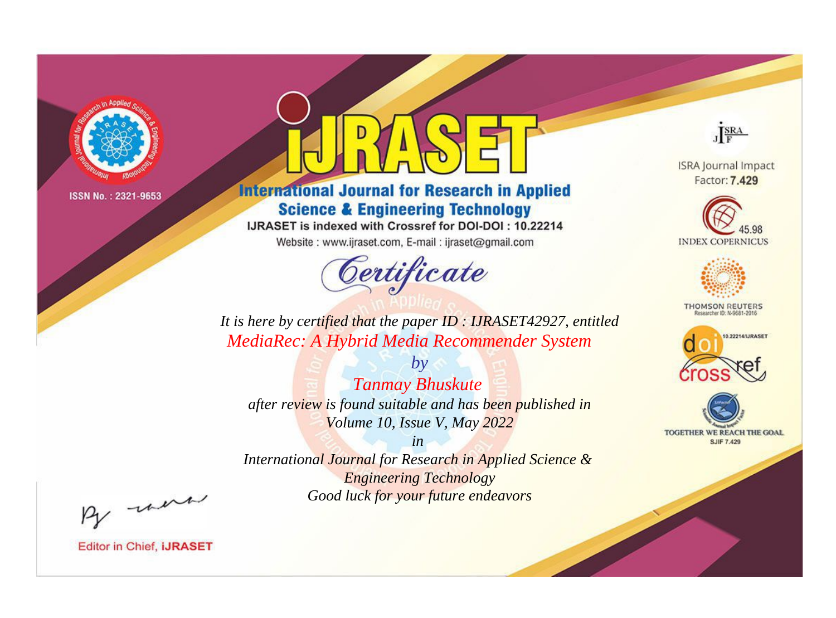

# **International Journal for Research in Applied Science & Engineering Technology**

IJRASET is indexed with Crossref for DOI-DOI: 10.22214

Website: www.ijraset.com, E-mail: ijraset@gmail.com



JERA

**ISRA Journal Impact** Factor: 7.429





**THOMSON REUTERS** 



TOGETHER WE REACH THE GOAL **SJIF 7.429** 

*It is here by certified that the paper ID : IJRASET42927, entitled MediaRec: A Hybrid Media Recommender System*

*by Tanmay Bhuskute after review is found suitable and has been published in Volume 10, Issue V, May 2022*

*in* 

*International Journal for Research in Applied Science & Engineering Technology Good luck for your future endeavors*

By morn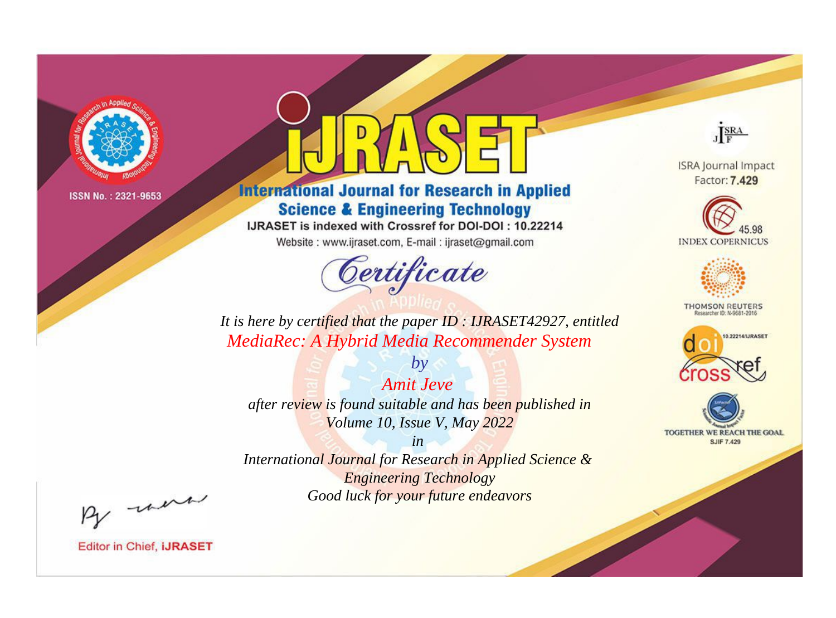

# **International Journal for Research in Applied Science & Engineering Technology**

IJRASET is indexed with Crossref for DOI-DOI: 10.22214

Website: www.ijraset.com, E-mail: ijraset@gmail.com



JERA

**ISRA Journal Impact** Factor: 7.429





**THOMSON REUTERS** 



TOGETHER WE REACH THE GOAL **SJIF 7.429** 

*It is here by certified that the paper ID : IJRASET42927, entitled MediaRec: A Hybrid Media Recommender System*

*Amit Jeve after review is found suitable and has been published in Volume 10, Issue V, May 2022*

*by*

*in* 

*International Journal for Research in Applied Science & Engineering Technology Good luck for your future endeavors*

By morn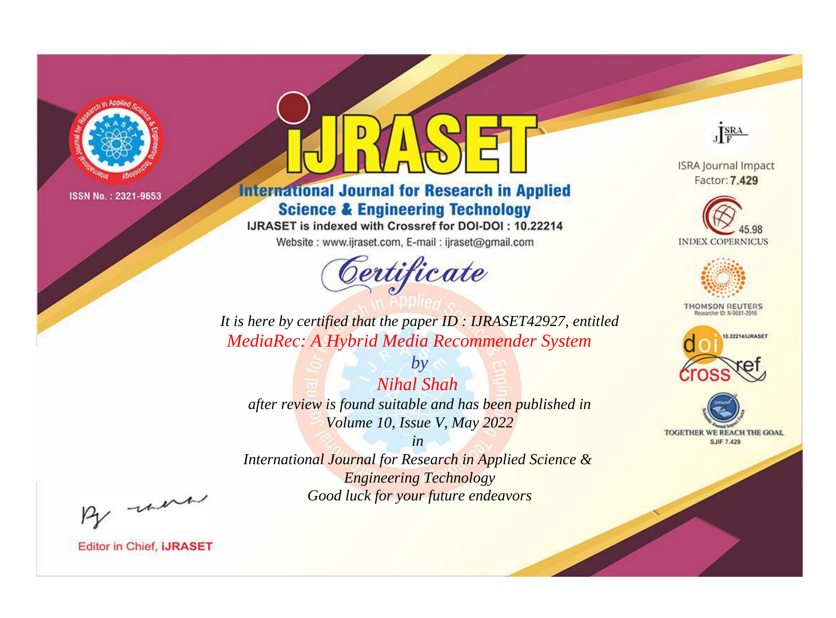

# **International Journal for Research in Applied Science & Engineering Technology**

IJRASET is indexed with Crossref for DOI-DOI: 10.22214

Website: www.ijraset.com, E-mail: ijraset@gmail.com



JERA

**ISRA Journal Impact** Factor: 7.429





**THOMSON REUTERS** 



TOGETHER WE REACH THE GOAL **SJIF 7.429** 

*It is here by certified that the paper ID : IJRASET42927, entitled MediaRec: A Hybrid Media Recommender System*

*Nihal Shah after review is found suitable and has been published in Volume 10, Issue V, May 2022*

*by*

*in* 

*International Journal for Research in Applied Science & Engineering Technology Good luck for your future endeavors*

By morn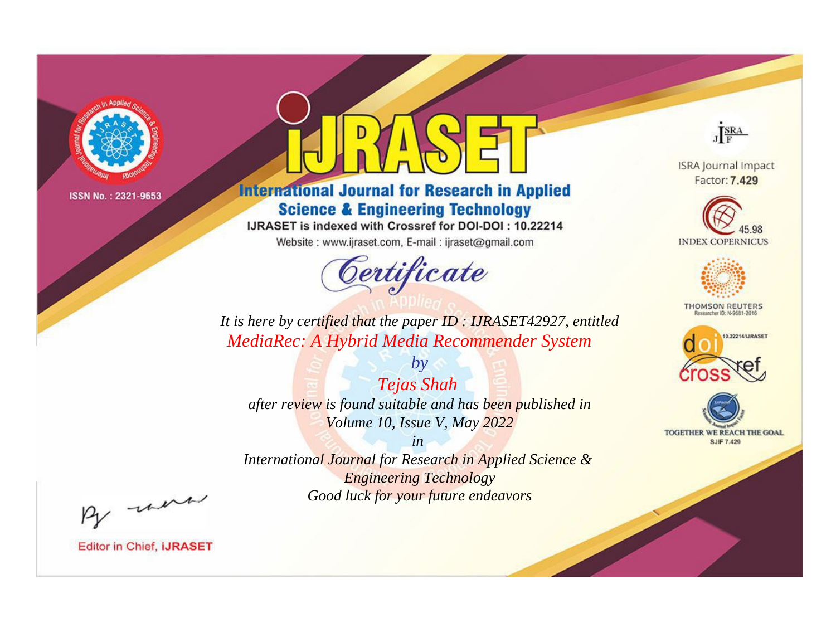

# **International Journal for Research in Applied Science & Engineering Technology**

IJRASET is indexed with Crossref for DOI-DOI: 10.22214

Website: www.ijraset.com, E-mail: ijraset@gmail.com



JERA

**ISRA Journal Impact** Factor: 7.429





**THOMSON REUTERS** 



TOGETHER WE REACH THE GOAL **SJIF 7.429** 

*It is here by certified that the paper ID : IJRASET42927, entitled MediaRec: A Hybrid Media Recommender System*

*by Tejas Shah after review is found suitable and has been published in Volume 10, Issue V, May 2022*

*in* 

*International Journal for Research in Applied Science & Engineering Technology Good luck for your future endeavors*

By morn